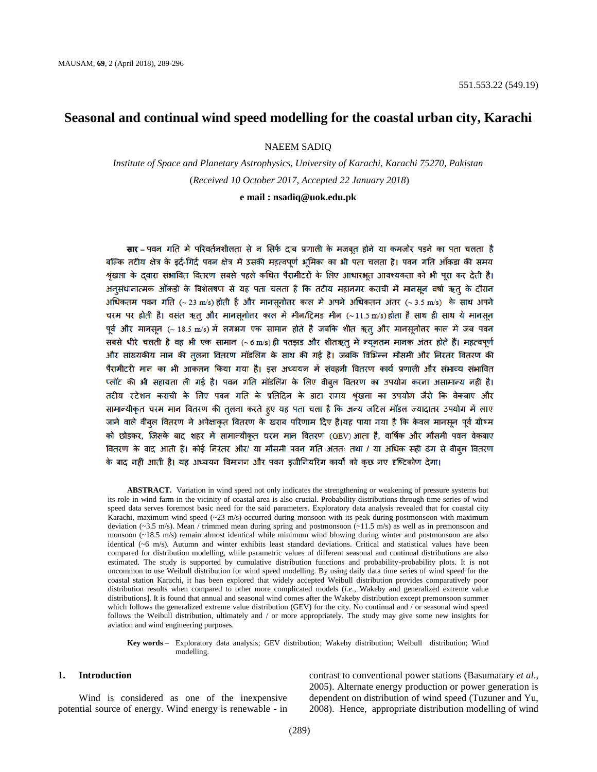# **Seasonal and continual wind speed modelling for the coastal urban city, Karachi**

NAEEM SADIQ

*Institute of Space and Planetary Astrophysics, University of Karachi, Karachi 75270, Pakistan* (*Received 10 October 2017, Accepted 22 January 2018*)

## **e mail : nsadiq@uok.edu.pk**

सार – पवन गति में परिवर्तनशीलता से न सिर्फ दाब प्रणाली के मजबत होने या कमजोर पड़ने का पता चलता है बल्कि तटीय क्षेत्र के इर्द-गिर्द पवन क्षेत्र में उसकी महत्वपूर्ण भूमिका का भी पता चलता है। पवन गति ऑकडा की समय श्रृंखला के दवारा संभावित वितरण सबसे पहले कथित पैरामीटरों के लिए आधारभूत आवश्यकता को भी पुरा कर देती है। अनसंधानात्मक ऑकडो के विशेलषण से यह पता चलता है कि तटीय महानगर कराची में मानसन वर्षा ऋत के दौरान अधिकतम पवन गति (~ 23 m/s) होती है और मानसुनोत्तर काल में अपने अधिकतम अंतर (~ 3.5 m/s) के साथ अपने चरम पर होती है। वसंत ऋतु और मानसुनोतर काल में मीन/ट्रिमड मीन (~11.5 m/s)होता है साथ ही साथ ये मानसुन पर्व और मानसन (~ 18.5 m/s) में लगभग एक सामान होते है जबकि शीत ऋत और मानसनोतर काल में जब पवन सबसे धीरे चलती है वह भी एक सामान (~6 m/s) ही पतझड़ और शीतऋत् में न्यूनतम मानक अंतर होते हैं। महत्वपूर्ण और सांख्यकीय मान की तुलना वितरण मॉडलिंग के साथ की गई है। जबकि विभिन्न मौसमी और निरतंर वितरण की पैरामीटरी मान का भी आकलन किया गया है। इस अध्ययन में संवहनी वितरण कार्य प्रणाली और संभाव्य संभावित प्लॉट की भी सहायता ली गई है। पवन गति मॉडलिंग के लिए वीबूल वितरण का उपयोग करना असामान्य नहीं है। तटीय स्टेशन कराची के लिए पवन गति के प्रतिदिन के डाटा समय श्रृंखला का उपयोग जैसे कि वेकबाए और सामान्यीकृत चरम मान वितरण की तुलना करते हुए यह पता चला है कि अन्य जटिल मॉडल ज्यादातर उपयोग में लाए जाने वाले वीबुल वितरण ने अपेक्षाकृत वितरण के खराब परिणाम दिए है।यह पाया गया है कि केवल मानसुन पूर्व ग्रीष्म को छोड़कर, जिसके बाद शहर में सामान्यीकृत चरम मान वितरण (GEV) आता है, वार्षिक और मौसमी पवन वेकबाए वितरण के बाद आती है। कोई निरंतर और/ या मौसमी पवन गति अंततः तथा / या अधिक सही ढंग से वीबुल वितरण के बाद नहीं आती है। यह अध्ययन विमानन और पवन इंजीनियरिंग कार्यों को कुछ नए दृष्टिकोण देगा।

**ABSTRACT.** Variation in wind speed not only indicates the strengthening or weakening of pressure systems but its role in wind farm in the vicinity of coastal area is also crucial. Probability distributions through time series of wind speed data serves foremost basic need for the said parameters. Exploratory data analysis revealed that for coastal city Karachi, maximum wind speed  $(\sim 23 \text{ m/s})$  occurred during monsoon with its peak during postmonsoon with maximum deviation (~3.5 m/s). Mean / trimmed mean during spring and postmonsoon (~11.5 m/s) as well as in premonsoon and monsoon (~18.5 m/s) remain almost identical while minimum wind blowing during winter and postmonsoon are also identical (~6 m/s). Autumn and winter exhibits least standard deviations. Critical and statistical values have been compared for distribution modelling, while parametric values of different seasonal and continual distributions are also estimated. The study is supported by cumulative distribution functions and probability-probability plots. It is not uncommon to use Weibull distribution for wind speed modelling. By using daily data time series of wind speed for the coastal station Karachi, it has been explored that widely accepted Weibull distribution provides comparatively poor distribution results when compared to other more complicated models (*i.e*., Wakeby and generalized extreme value distributions]. It is found that annual and seasonal wind comes after the Wakeby distribution except premonsoon summer which follows the generalized extreme value distribution (GEV) for the city. No continual and / or seasonal wind speed follows the Weibull distribution, ultimately and / or more appropriately. The study may give some new insights for aviation and wind engineering purposes.

#### **Key words** – Exploratory data analysis; GEV distribution; Wakeby distribution; Weibull distribution; Wind modelling.

## **1. Introduction**

Wind is considered as one of the inexpensive potential source of energy. Wind energy is renewable - in contrast to conventional power stations (Basumatary *et al*., 2005). Alternate energy production or power generation is dependent on distribution of wind speed (Tuzuner and Yu, 2008). Hence, appropriate distribution modelling of wind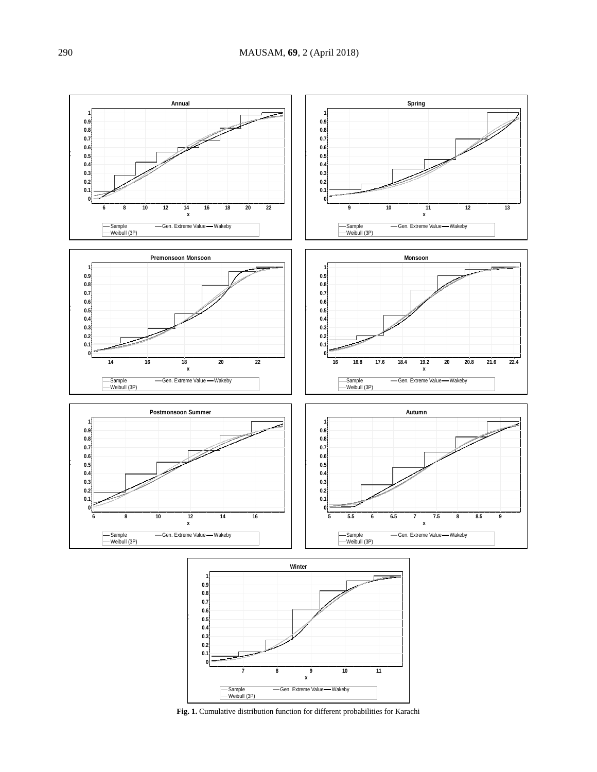

**Fig. 1.** Cumulative distribution function for different probabilities for Karachi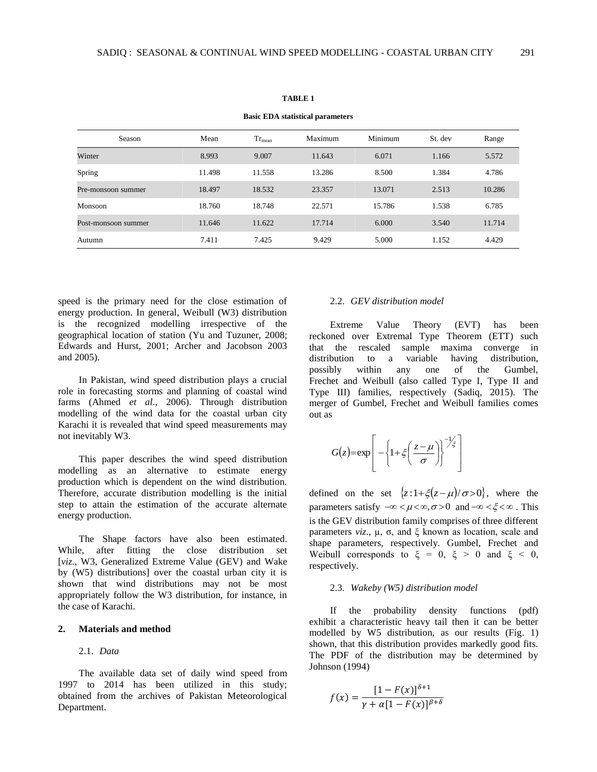| <b>Basic EDA statistical parameters</b> |        |             |         |         |         |        |
|-----------------------------------------|--------|-------------|---------|---------|---------|--------|
| Season                                  | Mean   | $Tr_{mean}$ | Maximum | Minimum | St. dev | Range  |
| Winter                                  | 8.993  | 9.007       | 11.643  | 6.071   | 1.166   | 5.572  |
| Spring                                  | 11.498 | 11.558      | 13.286  | 8.500   | 1.384   | 4.786  |
| Pre-monsoon summer                      | 18.497 | 18.532      | 23.357  | 13.071  | 2.513   | 10.286 |
| Monsoon                                 | 18.760 | 18.748      | 22.571  | 15.786  | 1.538   | 6.785  |
| Post-monsoon summer                     | 11.646 | 11.622      | 17.714  | 6.000   | 3.540   | 11.714 |
| Autumn                                  | 7.411  | 7.425       | 9.429   | 5.000   | 1.152   | 4.429  |

#### **TABLE 1**

speed is the primary need for the close estimation of energy production. In general, Weibull (W3) distribution is the recognized modelling irrespective of the geographical location of station (Yu and Tuzuner, 2008; Edwards and Hurst, 2001; Archer and Jacobson 2003 and 2005).

In Pakistan, wind speed distribution plays a crucial role in forecasting storms and planning of coastal wind farms (Ahmed *et al*., 2006). Through distribution modelling of the wind data for the coastal urban city Karachi it is revealed that wind speed measurements may not inevitably W3.

This paper describes the wind speed distribution modelling as an alternative to estimate energy production which is dependent on the wind distribution. Therefore, accurate distribution modelling is the initial step to attain the estimation of the accurate alternate energy production.

The Shape factors have also been estimated. While, after fitting the close distribution set [*viz*., W3, Generalized Extreme Value (GEV) and Wake by (W5) distributions] over the coastal urban city it is shown that wind distributions may not be most appropriately follow the W3 distribution, for instance, in the case of Karachi.

## **2. Materials and method**

## 2.1. *Data*

The available data set of daily wind speed from 1997 to 2014 has been utilized in this study; obtained from the archives of Pakistan Meteorological Department.

## 2.2. *GEV distribution model*

Extreme Value Theory (EVT) has been reckoned over Extremal Type Theorem (ETT) such that the rescaled sample maxima converge in distribution to a variable having distribution, possibly within any one of the Gumbel, Frechet and Weibull (also called Type I, Type II and Type III) families, respectively (Sadiq, 2015). The merger of Gumbel, Frechet and Weibull families comes out as

$$
G(z) = \exp\left[-\left\{1 + \xi\left(\frac{z-\mu}{\sigma}\right)\right\}^{-1/\xi}\right]
$$

defined on the set  $\{z: 1+\xi(z-\mu)/\sigma > 0\}$ , where the parameters satisfy  $-\infty < \mu < \infty, \sigma > 0$  and  $-\infty < \xi < \infty$ . This is the GEV distribution family comprises of three different parameters *viz*., µ, σ, and ξ known as location, scale and shape parameters, respectively. Gumbel, Frechet and Weibull corresponds to  $\xi = 0$ ,  $\xi > 0$  and  $\xi < 0$ , respectively.

### 2.3. *Wakeby (W5) distribution model*

If the probability density functions (pdf) exhibit a characteristic heavy tail then it can be better modelled by W5 distribution, as our results (Fig. 1) shown, that this distribution provides markedly good fits. The PDF of the distribution may be determined by Johnson (1994)

$$
f(x) = \frac{[1 - F(x)]^{\delta + 1}}{\gamma + \alpha [1 - F(x)]^{\beta + \delta}}
$$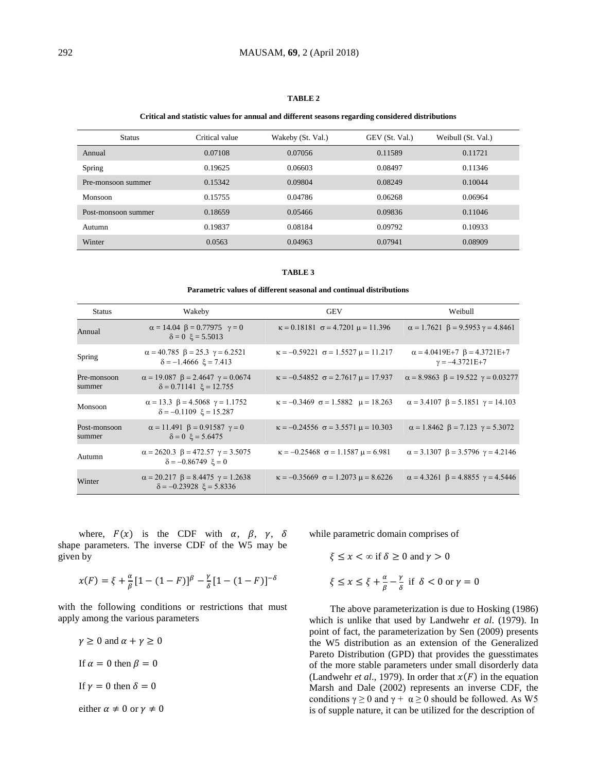## **TABLE 2**

#### **Critical and statistic values for annual and different seasons regarding considered distributions**

| <b>Status</b>       | Critical value | Wakeby (St. Val.) | GEV (St. Val.) | Weibull (St. Val.) |
|---------------------|----------------|-------------------|----------------|--------------------|
| Annual              | 0.07108        | 0.07056           | 0.11589        | 0.11721            |
| Spring              | 0.19625        | 0.06603           | 0.08497        | 0.11346            |
| Pre-monsoon summer  | 0.15342        | 0.09804           | 0.08249        | 0.10044            |
| Monsoon             | 0.15755        | 0.04786           | 0.06268        | 0.06964            |
| Post-monsoon summer | 0.18659        | 0.05466           | 0.09836        | 0.11046            |
| Autumn              | 0.19837        | 0.08184           | 0.09792        | 0.10933            |
| Winter              | 0.0563         | 0.04963           | 0.07941        | 0.08909            |

#### **TABLE 3**

### **Parametric values of different seasonal and continual distributions**

| <b>Status</b>          | Wakeby                                                                                     | <b>GEV</b>                                           | Weibull                                                           |
|------------------------|--------------------------------------------------------------------------------------------|------------------------------------------------------|-------------------------------------------------------------------|
| Annual                 | $\alpha = 14.04 \ \beta = 0.77975 \ \gamma = 0$<br>$\delta = 0 \xi = 5.5013$               | $\kappa = 0.18181$ $\sigma = 4.7201$ $\mu = 11.396$  | $\alpha = 1.7621 \ \beta = 9.5953 \ \gamma = 4.8461$              |
| Spring                 | $\alpha = 40.785 \ \beta = 25.3 \ \gamma = 6.2521$<br>$\delta = -1.4666 \xi = 7.413$       | $\kappa = -0.59221$ $\sigma = 1.5527 \mu = 11.217$   | $\alpha = 4.0419E+7$ $\beta = 4.3721E+7$<br>$\gamma = -4.3721E+7$ |
| Pre-monsoon<br>summer  | $\alpha = 19.087 \ \beta = 2.4647 \ \gamma = 0.0674$<br>$\delta = 0.71141 \xi = 12.755$    | $\kappa = -0.54852$ $\sigma = 2.7617 \mu = 17.937$   | $\alpha = 8.9863 \ \beta = 19.522 \ \gamma = 0.03277$             |
| Monsoon                | $\alpha = 13.3 \ \beta = 4.5068 \ \gamma = 1.1752$<br>$\delta = -0.1109$ $\xi = 15.287$    | $\kappa = -0.3469$ $\sigma = 1.5882$ $\mu = 18.263$  | $\alpha = 3.4107 \ \beta = 5.1851 \ \gamma = 14.103$              |
| Post-monsoon<br>summer | $\alpha = 11.491 \ \beta = 0.91587 \ \gamma = 0$<br>$\delta = 0$ $\xi = 5.6475$            | $\kappa = -0.24556$ $\sigma = 3.5571$ $\mu = 10.303$ | $\alpha = 1.8462 \ \beta = 7.123 \ \gamma = 5.3072$               |
| Autumn                 | $\alpha = 2620.3 \ \beta = 472.57 \ \gamma = 3.5075$<br>$\delta = -0.86749 \xi = 0$        | $\kappa = -0.25468$ $\sigma = 1.1587$ $\mu = 6.981$  | $\alpha = 3.1307$ $\beta = 3.5796$ $\gamma = 4.2146$              |
| Winter                 | $\alpha = 20.217 \ \beta = 8.4475 \ \gamma = 1.2638$<br>$\delta = -0.23928$ $\xi = 5.8336$ | $\kappa = -0.35669$ $\sigma = 1.2073$ $\mu = 8.6226$ | $\alpha = 4.3261 \ \beta = 4.8855 \ \gamma = 4.5446$              |

where,  $F(x)$  is the CDF with  $\alpha$ ,  $\beta$ ,  $\gamma$ ,  $\delta$ shape parameters. The inverse CDF of the W5 may be given by

$$
x(F) = \xi + \frac{\alpha}{\beta} [1 - (1 - F)]^{\beta} - \frac{\gamma}{\delta} [1 - (1 - F)]^{-\delta}
$$

with the following conditions or restrictions that must apply among the various parameters

 $\gamma \geq 0$  and  $\alpha + \gamma \geq 0$ If  $\alpha = 0$  then  $\beta = 0$ If  $\gamma = 0$  then  $\delta = 0$ either  $\alpha \neq 0$  or  $\gamma \neq 0$  while parametric domain comprises of

$$
\xi \le x < \infty \text{ if } \delta \ge 0 \text{ and } \gamma > 0
$$
\n
$$
\xi \le x \le \xi + \frac{\alpha}{\beta} - \frac{\gamma}{\delta} \text{ if } \delta < 0 \text{ or } \gamma = 0
$$

The above parameterization is due to Hosking (1986) which is unlike that used by Landwehr *et al*. (1979). In point of fact, the parameterization by Sen (2009) presents the W5 distribution as an extension of the Generalized Pareto Distribution (GPD) that provides the guesstimates of the more stable parameters under small disorderly data (Landwehr *et al.*, 1979). In order that  $x(F)$  in the equation Marsh and Dale (2002) represents an inverse CDF, the conditions  $\gamma \ge 0$  and  $\gamma + \alpha \ge 0$  should be followed. As W5 is of supple nature, it can be utilized for the description of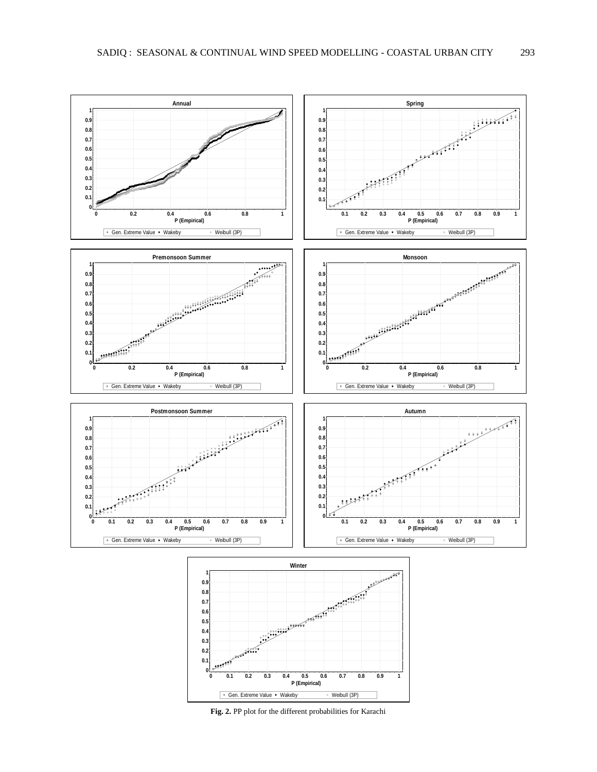

**Fig. 2.** PP plot for the different probabilities for Karachi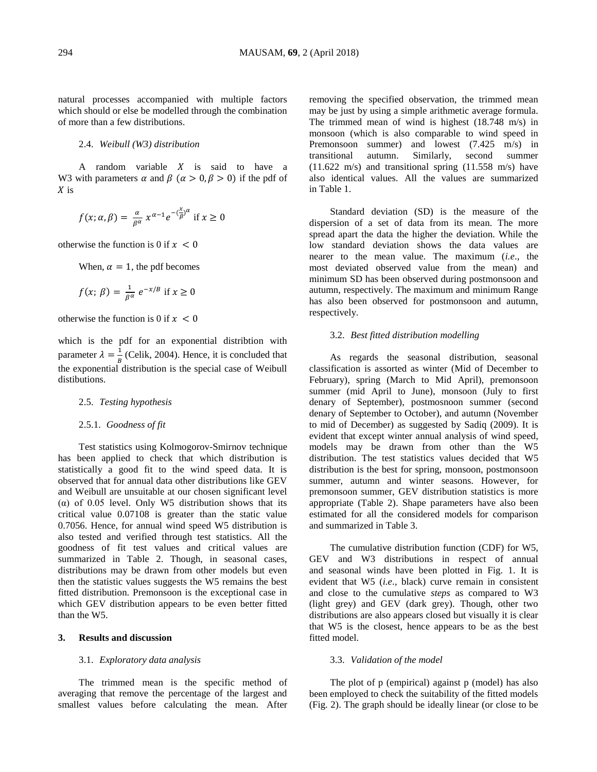natural processes accompanied with multiple factors which should or else be modelled through the combination of more than a few distributions.

## 2.4. *Weibull (W3) distribution*

A random variable  $X$  is said to have a W3 with parameters  $\alpha$  and  $\beta$  ( $\alpha > 0, \beta > 0$ ) if the pdf of  $X$  is

$$
f(x; \alpha, \beta) = \frac{\alpha}{\beta^{\alpha}} x^{\alpha - 1} e^{-\left(\frac{x}{\beta}\right)^{\alpha}} \text{ if } x \ge 0
$$

otherwise the function is 0 if  $x < 0$ 

When,  $\alpha = 1$ , the pdf becomes

$$
f(x; \beta) = \frac{1}{\beta^{\alpha}} e^{-x/\beta} \text{ if } x \ge 0
$$

otherwise the function is 0 if  $x < 0$ 

which is the pdf for an exponential distribtion with parameter  $\lambda = \frac{1}{R}$  $\frac{1}{B}$  (Celik, 2004). Hence, it is concluded that the exponential distribution is the special case of Weibull distibutions.

## 2.5. *Testing hypothesis*

## 2.5.1. *Goodness of fit*

Test statistics using Kolmogorov-Smirnov technique has been applied to check that which distribution is statistically a good fit to the wind speed data. It is observed that for annual data other distributions like GEV and Weibull are unsuitable at our chosen significant level (α) of 0.05 level. Only W5 distribution shows that its critical value 0.07108 is greater than the static value 0.7056. Hence, for annual wind speed W5 distribution is also tested and verified through test statistics. All the goodness of fit test values and critical values are summarized in Table 2. Though, in seasonal cases, distributions may be drawn from other models but even then the statistic values suggests the W5 remains the best fitted distribution. Premonsoon is the exceptional case in which GEV distribution appears to be even better fitted than the W5.

## **3. Results and discussion**

### 3.1. *Exploratory data analysis*

The trimmed mean is the specific method of averaging that remove the percentage of the largest and smallest values before calculating the mean. After removing the specified observation, the trimmed mean may be just by using a simple arithmetic average formula. The trimmed mean of wind is highest (18.748 m/s) in monsoon (which is also comparable to wind speed in Premonsoon summer) and lowest (7.425 m/s) in transitional autumn. Similarly, second summer (11.622 m/s) and transitional spring (11.558 m/s) have also identical values. All the values are summarized in Table 1.

Standard deviation (SD) is the measure of the dispersion of a set of data from its mean. The more spread apart the data the higher the deviation. While the low standard deviation shows the data values are nearer to the mean value. The maximum (*i.e*., the most deviated observed value from the mean) and minimum SD has been observed during postmonsoon and autumn, respectively. The maximum and minimum Range has also been observed for postmonsoon and autumn, respectively.

## 3.2. *Best fitted distribution modelling*

As regards the seasonal distribution, seasonal classification is assorted as winter (Mid of December to February), spring (March to Mid April), premonsoon summer (mid April to June), monsoon (July to first denary of September), postmosnoon summer (second denary of September to October), and autumn (November to mid of December) as suggested by Sadiq (2009). It is evident that except winter annual analysis of wind speed, models may be drawn from other than the W5 distribution. The test statistics values decided that W5 distribution is the best for spring, monsoon, postmonsoon summer, autumn and winter seasons. However, for premonsoon summer, GEV distribution statistics is more appropriate (Table 2). Shape parameters have also been estimated for all the considered models for comparison and summarized in Table 3.

The cumulative distribution function (CDF) for W5, GEV and W3 distributions in respect of annual and seasonal winds have been plotted in Fig. 1. It is evident that W5 (*i.e*., black) curve remain in consistent and close to the cumulative *steps* as compared to W3 (light grey) and GEV (dark grey). Though, other two distributions are also appears closed but visually it is clear that W5 is the closest, hence appears to be as the best fitted model.

## 3.3. *Validation of the model*

The plot of p (empirical) against p (model) has also been employed to check the suitability of the fitted models (Fig. 2). The graph should be ideally linear (or close to be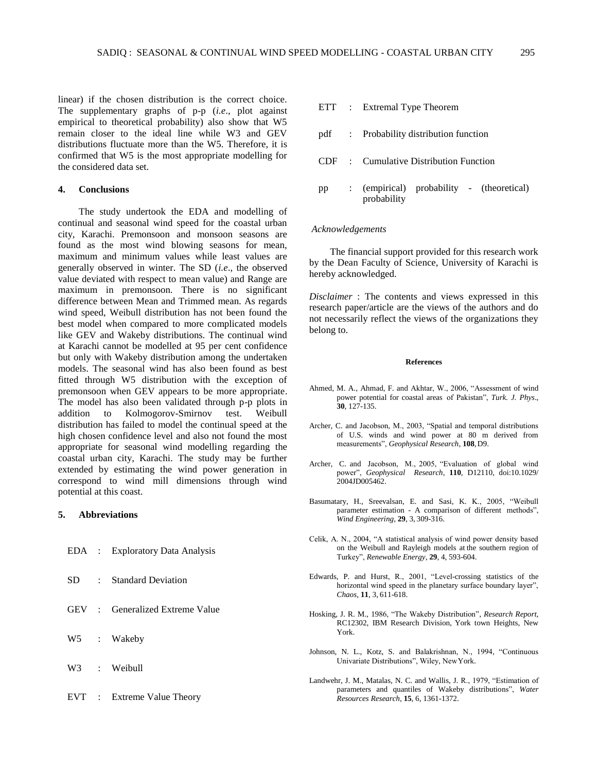linear) if the chosen distribution is the correct choice. The supplementary graphs of p-p (*i.e*., plot against empirical to theoretical probability) also show that W5 remain closer to the ideal line while W3 and GEV distributions fluctuate more than the W5. Therefore, it is confirmed that W5 is the most appropriate modelling for the considered data set.

## **4. Conclusions**

The study undertook the EDA and modelling of continual and seasonal wind speed for the coastal urban city, Karachi. Premonsoon and monsoon seasons are found as the most wind blowing seasons for mean, maximum and minimum values while least values are generally observed in winter. The SD (*i.e*., the observed value deviated with respect to mean value) and Range are maximum in premonsoon. There is no significant difference between Mean and Trimmed mean. As regards wind speed, Weibull distribution has not been found the best model when compared to more complicated models like GEV and Wakeby distributions. The continual wind at Karachi cannot be modelled at 95 per cent confidence but only with Wakeby distribution among the undertaken models. The seasonal wind has also been found as best fitted through W5 distribution with the exception of premonsoon when GEV appears to be more appropriate. The model has also been validated through p-p plots in addition to Kolmogorov-Smirnov test. Weibull distribution has failed to model the continual speed at the high chosen confidence level and also not found the most appropriate for seasonal wind modelling regarding the coastal urban city, Karachi. The study may be further extended by estimating the wind power generation in correspond to wind mill dimensions through wind potential at this coast.

## **5. Abbreviations**

|  | EDA : Exploratory Data Analysis |
|--|---------------------------------|
|  | SD : Standard Deviation         |
|  | GEV : Generalized Extreme Value |
|  | W5 : Wakeby                     |
|  | W3 : Weibull                    |
|  |                                 |

|    | ETT : Extremal Type Theorem                              |
|----|----------------------------------------------------------|
|    | pdf : Probability distribution function                  |
|    | CDF : Cumulative Distribution Function                   |
| pp | : (empirical) probability - (theoretical)<br>probability |

## *Acknowledgements*

The financial support provided for this research work by the Dean Faculty of Science, University of Karachi is hereby acknowledged.

*Disclaimer* : The contents and views expressed in this research paper/article are the views of the authors and do not necessarily reflect the views of the organizations they belong to.

#### **References**

- Ahmed, M. A., Ahmad, F. and Akhtar, W., 2006, "Assessment of wind power potential for coastal areas of Pakistan", *Turk. J. Phys*., **30**, 127-135.
- Archer, C. and Jacobson, M., 2003, "Spatial and temporal distributions of U.S. winds and wind power at 80 m derived from measurements", *Geophysical Research*, **108**,D9.
- Archer, C. and Jacobson, M., 2005, "Evaluation of global wind power", *Geophysical Research*, **110**, D12110, d[oi:10.1029/](http://dx.doi.org/10.1029/2004JD005462) [2004JD005462.](http://dx.doi.org/10.1029/2004JD005462)
- Basumatary, H., Sreevalsan, E. and Sasi, K. K., 2005, "Weibull parameter estimation - A comparison of different methods", *Wind Engineering*, **29**, 3, 309-316.
- Celik, A. N., 2004, "A statistical analysis of wind power density based on the Weibull and Rayleigh models at the southern region of Turkey", *Renewable Energy*, **29**, 4, 593-604.
- Edwards, P. and Hurst, R., 2001, "Level-crossing statistics of the horizontal wind speed in the planetary surface boundary layer", *Chaos*, **11**, 3, 611-618.
- Hosking, J. R. M., 1986, "The Wakeby Distribution", *Research Report*, RC12302, IBM Research Division, York town Heights, New York.
- Johnson, N. L., Kotz, S. and Balakrishnan, N., 1994, "Continuous Univariate Distributions", Wiley, NewYork.
- Landwehr, J. M., Matalas, N. C. and Wallis, J. R., 1979, "Estimation of parameters and quantiles of Wakeby distributions", *Water Resources Research*, **15**, 6, 1361-1372.